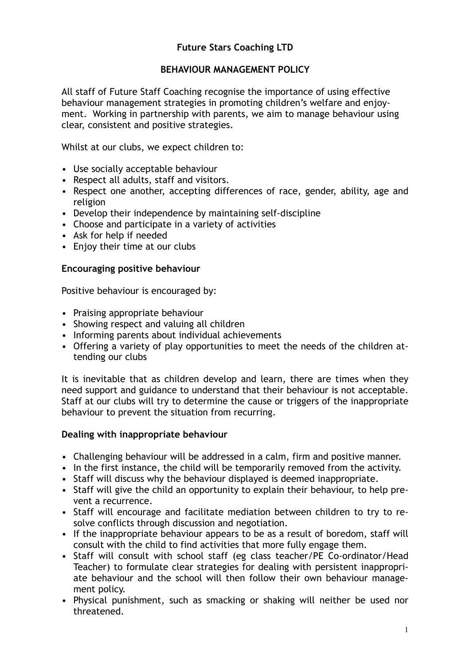# **Future Stars Coaching LTD**

# **BEHAVIOUR MANAGEMENT POLICY**

All staff of Future Staff Coaching recognise the importance of using effective behaviour management strategies in promoting children's welfare and enjoyment. Working in partnership with parents, we aim to manage behaviour using clear, consistent and positive strategies.

Whilst at our clubs, we expect children to:

- Use socially acceptable behaviour
- Respect all adults, staff and visitors.
- Respect one another, accepting differences of race, gender, ability, age and religion
- Develop their independence by maintaining self-discipline
- Choose and participate in a variety of activities
- Ask for help if needed
- Enjoy their time at our clubs

## **Encouraging positive behaviour**

Positive behaviour is encouraged by:

- Praising appropriate behaviour
- Showing respect and valuing all children
- Informing parents about individual achievements
- Offering a variety of play opportunities to meet the needs of the children attending our clubs

It is inevitable that as children develop and learn, there are times when they need support and guidance to understand that their behaviour is not acceptable. Staff at our clubs will try to determine the cause or triggers of the inappropriate behaviour to prevent the situation from recurring.

### **Dealing with inappropriate behaviour**

- Challenging behaviour will be addressed in a calm, firm and positive manner.
- In the first instance, the child will be temporarily removed from the activity.
- Staff will discuss why the behaviour displayed is deemed inappropriate.
- Staff will give the child an opportunity to explain their behaviour, to help prevent a recurrence.
- Staff will encourage and facilitate mediation between children to try to resolve conflicts through discussion and negotiation.
- If the inappropriate behaviour appears to be as a result of boredom, staff will consult with the child to find activities that more fully engage them.
- Staff will consult with school staff (eg class teacher/PE Co-ordinator/Head Teacher) to formulate clear strategies for dealing with persistent inappropriate behaviour and the school will then follow their own behaviour management policy.
- Physical punishment, such as smacking or shaking will neither be used nor threatened.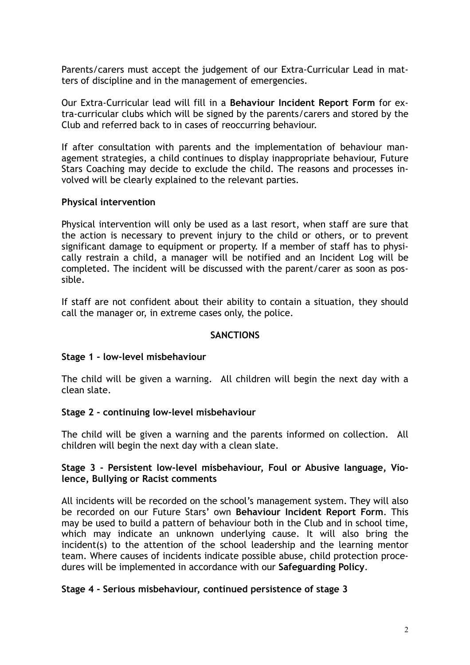Parents/carers must accept the judgement of our Extra-Curricular Lead in matters of discipline and in the management of emergencies.

Our Extra-Curricular lead will fill in a **Behaviour Incident Report Form** for extra-curricular clubs which will be signed by the parents/carers and stored by the Club and referred back to in cases of reoccurring behaviour.

If after consultation with parents and the implementation of behaviour management strategies, a child continues to display inappropriate behaviour, Future Stars Coaching may decide to exclude the child. The reasons and processes involved will be clearly explained to the relevant parties.

# **Physical intervention**

Physical intervention will only be used as a last resort, when staff are sure that the action is necessary to prevent injury to the child or others, or to prevent significant damage to equipment or property. If a member of staff has to physically restrain a child, a manager will be notified and an Incident Log will be completed. The incident will be discussed with the parent/carer as soon as possible.

If staff are not confident about their ability to contain a situation, they should call the manager or, in extreme cases only, the police.

## **SANCTIONS**

### **Stage 1 - low-level misbehaviour**

The child will be given a warning. All children will begin the next day with a clean slate.

### **Stage 2 - continuing low-level misbehaviour**

The child will be given a warning and the parents informed on collection. All children will begin the next day with a clean slate.

# **Stage 3 - Persistent low-level misbehaviour, Foul or Abusive language, Violence, Bullying or Racist comments**

All incidents will be recorded on the school's management system. They will also be recorded on our Future Stars' own **Behaviour Incident Report Form**. This may be used to build a pattern of behaviour both in the Club and in school time, which may indicate an unknown underlying cause. It will also bring the incident(s) to the attention of the school leadership and the learning mentor team. Where causes of incidents indicate possible abuse, child protection procedures will be implemented in accordance with our **Safeguarding Policy**.

# **Stage 4 - Serious misbehaviour, continued persistence of stage 3**